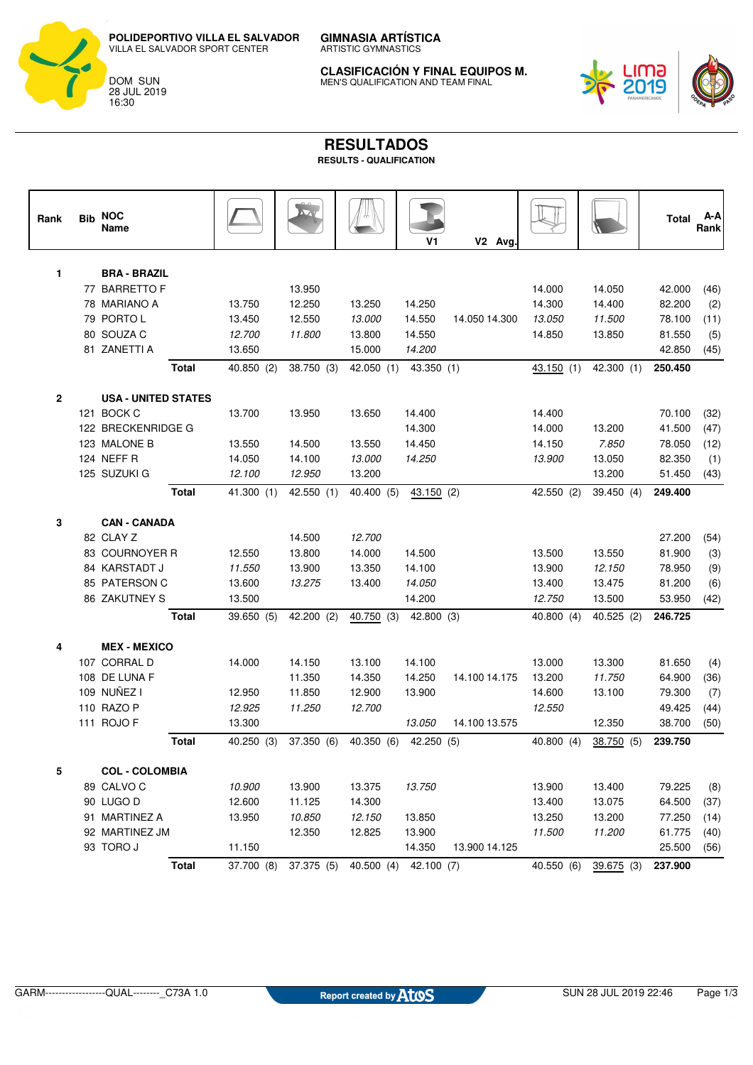**POLIDEPORTIVO VILLA EL SALVADOR** VILLA EL SALVADOR SPORT CENTER



**GIMNASIA ARTÍSTICA** ARTISTIC GYMNASTICS

**CLASIFICACIÓN Y FINAL EQUIPOS M.** MEN'S QUALIFICATION AND TEAM FINAL



## **RESULTADOS**

| <b>RESULTS - QUALIFICATION</b> |
|--------------------------------|
|--------------------------------|

| Rank         | <b>Bib NOC</b><br>Name                   |              |            |            |            | V1                    | V <sub>2</sub> Avg. |            |              | <b>Total</b> | A-A<br>Rank |
|--------------|------------------------------------------|--------------|------------|------------|------------|-----------------------|---------------------|------------|--------------|--------------|-------------|
| 1            | <b>BRA - BRAZIL</b>                      |              |            |            |            |                       |                     |            |              |              |             |
|              | 77 BARRETTO F                            |              |            | 13.950     |            |                       |                     | 14.000     | 14.050       | 42.000       | (46)        |
|              | 78 MARIANO A                             |              | 13.750     | 12.250     | 13.250     | 14.250                |                     | 14.300     | 14.400       | 82.200       | (2)         |
|              | 79 PORTO L                               |              | 13.450     | 12.550     | 13.000     | 14.550                | 14.050 14.300       | 13.050     | 11.500       | 78.100       | (11)        |
|              | 80 SOUZA C                               |              | 12.700     | 11.800     | 13.800     | 14.550                |                     | 14.850     | 13.850       | 81.550       | (5)         |
|              | 81 ZANETTI A                             |              | 13.650     |            | 15.000     | 14.200                |                     |            |              | 42.850       | (45)        |
|              |                                          | <b>Total</b> | 40.850 (2) | 38.750 (3) |            | 42.050 (1) 43.350 (1) |                     | 43.150 (1) | 42.300(1)    | 250.450      |             |
|              |                                          |              |            |            |            |                       |                     |            |              |              |             |
| $\mathbf{2}$ | <b>USA - UNITED STATES</b><br>121 BOCK C |              | 13.700     | 13.950     | 13.650     | 14.400                |                     | 14.400     |              | 70.100       | (32)        |
|              | 122 BRECKENRIDGE G                       |              |            |            |            | 14.300                |                     | 14.000     | 13.200       | 41.500       | (47)        |
|              | 123 MALONE B                             |              | 13.550     | 14.500     | 13.550     | 14.450                |                     | 14.150     | 7.850        | 78.050       | (12)        |
|              | 124 NEFF R                               |              | 14.050     | 14.100     | 13.000     | 14.250                |                     | 13.900     | 13.050       | 82.350       | (1)         |
|              | 125 SUZUKI G                             |              | 12.100     | 12.950     | 13.200     |                       |                     |            | 13.200       | 51.450       | (43)        |
|              |                                          | <b>Total</b> | 41.300(1)  | 42.550(1)  | 40.400 (5) | 43.150(2)             |                     | 42.550 (2) | 39.450 (4)   | 249.400      |             |
| 3            | <b>CAN - CANADA</b>                      |              |            |            |            |                       |                     |            |              |              |             |
|              | 82 CLAY Z                                |              |            | 14.500     | 12.700     |                       |                     |            |              | 27.200       | (54)        |
|              | 83 COURNOYER R                           |              | 12.550     | 13.800     | 14.000     | 14.500                |                     | 13.500     | 13.550       | 81.900       | (3)         |
|              | 84 KARSTADT J                            |              | 11.550     | 13.900     | 13.350     | 14.100                |                     | 13.900     | 12.150       | 78.950       | (9)         |
|              | 85 PATERSON C                            |              | 13.600     | 13.275     | 13.400     | 14.050                |                     | 13.400     | 13.475       | 81.200       | (6)         |
|              | 86 ZAKUTNEY S                            |              | 13.500     |            |            | 14.200                |                     | 12.750     | 13.500       | 53.950       | (42)        |
|              |                                          | <b>Total</b> | 39.650 (5) | 42.200 (2) | 40.750(3)  | 42.800 (3)            |                     | 40.800 (4) | 40.525(2)    | 246.725      |             |
| 4            | <b>MEX - MEXICO</b>                      |              |            |            |            |                       |                     |            |              |              |             |
|              | 107 CORRAL D                             |              | 14.000     | 14.150     | 13.100     | 14.100                |                     | 13.000     | 13.300       | 81.650       | (4)         |
|              | 108 DE LUNA F                            |              |            | 11.350     | 14.350     | 14.250                | 14.100 14.175       | 13.200     | 11.750       | 64.900       | (36)        |
|              | 109 NUÑEZ I                              |              | 12.950     | 11.850     | 12.900     | 13.900                |                     | 14.600     | 13.100       | 79.300       | (7)         |
|              | 110 RAZO P                               |              | 12.925     | 11.250     | 12.700     |                       |                     | 12.550     |              | 49.425       | (44)        |
|              | 111 ROJO F                               |              | 13.300     |            |            | 13.050                | 14.100 13.575       |            | 12.350       | 38.700       | (50)        |
|              |                                          | <b>Total</b> | 40.250(3)  | 37.350 (6) |            | 40.350 (6) 42.250 (5) |                     | 40.800(4)  | 38.750 (5)   | 239.750      |             |
| 5            | <b>COL - COLOMBIA</b>                    |              |            |            |            |                       |                     |            |              |              |             |
|              | 89 CALVO C                               |              | 10.900     | 13.900     | 13.375     | 13.750                |                     | 13.900     | 13.400       | 79.225       | (8)         |
|              | 90 LUGO D                                |              | 12.600     | 11.125     | 14.300     |                       |                     | 13.400     | 13.075       | 64.500       | (37)        |
|              | 91 MARTINEZ A                            |              | 13.950     | 10.850     | 12.150     | 13.850                |                     | 13.250     | 13.200       | 77.250       | (14)        |
|              | 92 MARTINEZ JM                           |              |            | 12.350     | 12.825     | 13.900                |                     | 11.500     | 11.200       | 61.775       | (40)        |
|              | 93 TORO J                                |              | 11.150     |            |            | 14.350                | 13.900 14.125       |            |              | 25.500       | (56)        |
|              |                                          | <b>Total</b> | 37.700 (8) | 37.375 (5) | 40.500(4)  | 42.100 (7)            |                     | 40.550 (6) | $39.675$ (3) | 237.900      |             |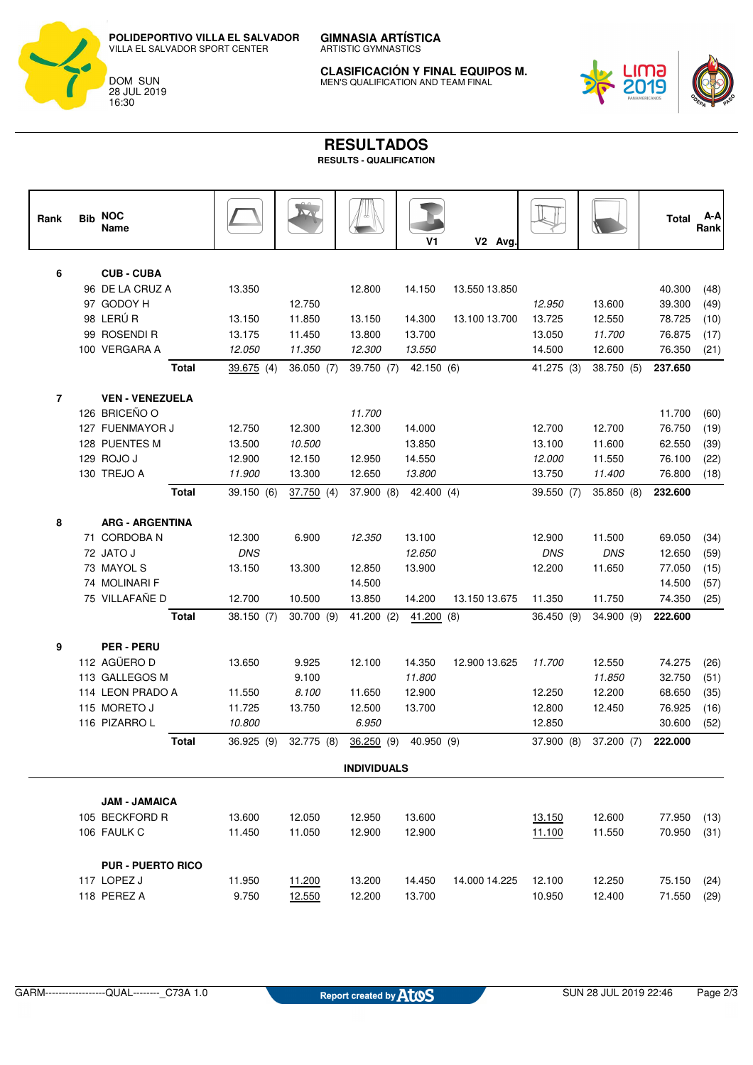**POLIDEPORTIVO VILLA EL SALVADOR** VILLA EL SALVADOR SPORT CENTER



**GIMNASIA ARTÍSTICA** ARTISTIC GYMNASTICS

**CLASIFICACIÓN Y FINAL EQUIPOS M.** MEN'S QUALIFICATION AND TEAM FINAL



## **RESULTADOS RESULTS - QUALIFICATION**

| Rank               | <b>Bib</b> | <b>NOC</b><br>Name       |            |            |                       | V1         | V2 Avg.       |            |            | <b>Total</b> | A-A<br>Rank |
|--------------------|------------|--------------------------|------------|------------|-----------------------|------------|---------------|------------|------------|--------------|-------------|
| 6                  |            | <b>CUB - CUBA</b>        |            |            |                       |            |               |            |            |              |             |
|                    |            | 96 DE LA CRUZ A          | 13.350     |            | 12.800                | 14.150     | 13.550 13.850 |            |            | 40.300       | (48)        |
|                    |            | 97 GODOY H               |            | 12.750     |                       |            |               | 12.950     | 13.600     | 39.300       | (49)        |
|                    |            | 98 LERÚR                 | 13.150     | 11.850     | 13.150                | 14.300     | 13.100 13.700 | 13.725     | 12.550     | 78.725       | (10)        |
|                    |            | 99 ROSENDI R             | 13.175     | 11.450     | 13.800                | 13.700     |               | 13.050     | 11.700     | 76.875       | (17)        |
|                    |            | 100 VERGARA A            | 12.050     | 11.350     | 12.300                | 13.550     |               | 14.500     | 12.600     | 76.350       | (21)        |
|                    |            | <b>Total</b>             | 39.675(4)  | 36.050(7)  | 39.750 (7) 42.150 (6) |            |               | 41.275 (3) | 38.750 (5) | 237.650      |             |
| $\overline{7}$     |            | <b>VEN - VENEZUELA</b>   |            |            |                       |            |               |            |            |              |             |
|                    |            | 126 BRICEÑO O            |            |            | 11.700                |            |               |            |            | 11.700       | (60)        |
|                    |            | 127 FUENMAYOR J          | 12.750     | 12.300     | 12.300                | 14.000     |               | 12.700     | 12.700     | 76.750       | (19)        |
|                    |            | 128 PUENTES M            | 13.500     | 10.500     |                       | 13.850     |               | 13.100     | 11.600     | 62.550       | (39)        |
|                    |            | 129 ROJO J               | 12.900     | 12.150     | 12.950                | 14.550     |               | 12.000     | 11.550     | 76.100       | (22)        |
|                    |            | 130 TREJO A              | 11.900     | 13.300     | 12.650                | 13.800     |               | 13.750     | 11.400     | 76.800       | (18)        |
|                    |            | <b>Total</b>             | 39.150(6)  | 37.750(4)  | 37.900 (8)            | 42.400 (4) |               | 39.550 (7) | 35.850 (8) | 232.600      |             |
| 8                  |            | <b>ARG - ARGENTINA</b>   |            |            |                       |            |               |            |            |              |             |
|                    |            | 71 CORDOBA N             | 12.300     | 6.900      | 12.350                | 13.100     |               | 12.900     | 11.500     | 69.050       | (34)        |
|                    |            | 72 JATO J                | <b>DNS</b> |            |                       | 12.650     |               | <b>DNS</b> | <b>DNS</b> | 12.650       | (59)        |
|                    |            | 73 MAYOL S               | 13.150     | 13.300     | 12.850                | 13.900     |               | 12.200     | 11.650     | 77.050       | (15)        |
|                    |            | 74 MOLINARI F            |            |            | 14.500                |            |               |            |            | 14.500       | (57)        |
|                    |            | 75 VILLAFAÑE D           | 12.700     | 10.500     | 13.850                | 14.200     | 13.150 13.675 | 11.350     | 11.750     | 74.350       | (25)        |
|                    |            | <b>Total</b>             | 38.150 (7) | 30.700(9)  | 41.200(2)             | 41.200 (8) |               | 36.450(9)  | 34.900 (9) | 222.600      |             |
| 9                  |            | <b>PER-PERU</b>          |            |            |                       |            |               |            |            |              |             |
|                    |            | 112 AGÜERO D             | 13.650     | 9.925      | 12.100                | 14.350     | 12.900 13.625 | 11.700     | 12.550     | 74.275       | (26)        |
|                    |            | 113 GALLEGOS M           |            | 9.100      |                       | 11.800     |               |            | 11.850     | 32.750       | (51)        |
|                    |            | 114 LEON PRADO A         | 11.550     | 8.100      | 11.650                | 12.900     |               | 12.250     | 12.200     | 68.650       | (35)        |
|                    |            | 115 MORETO J             | 11.725     | 13.750     | 12.500                | 13.700     |               | 12.800     | 12.450     | 76.925       | (16)        |
|                    |            | 116 PIZARROL             | 10.800     |            | 6.950                 |            |               | 12.850     |            | 30.600       | (52)        |
|                    |            | <b>Total</b>             | 36.925 (9) | 32.775 (8) | 36.250(9)             | 40.950 (9) |               | 37.900 (8) | 37.200 (7) | 222.000      |             |
| <b>INDIVIDUALS</b> |            |                          |            |            |                       |            |               |            |            |              |             |
|                    |            | <b>JAM - JAMAICA</b>     |            |            |                       |            |               |            |            |              |             |
|                    |            | 105 BECKFORD R           | 13.600     | 12.050     | 12.950                | 13.600     |               | 13.150     | 12.600     | 77.950       | (13)        |
|                    |            | 106 FAULK C              | 11.450     | 11.050     | 12.900                | 12.900     |               | 11.100     | 11.550     | 70.950       | (31)        |
|                    |            | <b>PUR - PUERTO RICO</b> |            |            |                       |            |               |            |            |              |             |
|                    |            | 117 LOPEZ J              | 11.950     | 11.200     | 13.200                | 14.450     | 14.000 14.225 | 12.100     | 12.250     | 75.150       | (24)        |
|                    |            | 118 PEREZ A              | 9.750      | 12.550     | 12.200                | 13.700     |               | 10.950     | 12.400     | 71.550       | (29)        |
|                    |            |                          |            |            |                       |            |               |            |            |              |             |